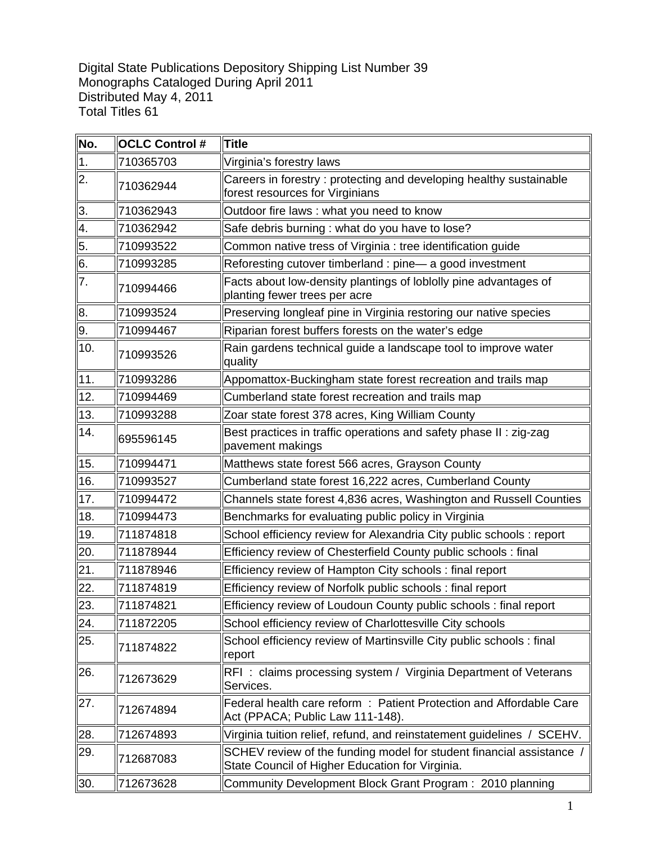Digital State Publications Depository Shipping List Number 39 Monographs Cataloged During April 2011 Distributed May 4, 2011 Total Titles 61

| No.              | <b>OCLC Control #</b> | <b>Title</b>                                                                                                            |
|------------------|-----------------------|-------------------------------------------------------------------------------------------------------------------------|
| $\vert$ 1.       | 710365703             | Virginia's forestry laws                                                                                                |
| $\overline{2}$ . | 710362944             | Careers in forestry: protecting and developing healthy sustainable<br>forest resources for Virginians                   |
| 3.               | 710362943             | Outdoor fire laws: what you need to know                                                                                |
| 4.               | 710362942             | Safe debris burning : what do you have to lose?                                                                         |
| 5.               | 710993522             | Common native tress of Virginia : tree identification guide                                                             |
| 6.               | 710993285             | Reforesting cutover timberland : pine-a good investment                                                                 |
| 7.               | 710994466             | Facts about low-density plantings of loblolly pine advantages of<br>planting fewer trees per acre                       |
| 8.               | 710993524             | Preserving longleaf pine in Virginia restoring our native species                                                       |
| 9.               | 710994467             | Riparian forest buffers forests on the water's edge                                                                     |
| 10.              | 710993526             | Rain gardens technical guide a landscape tool to improve water<br>quality                                               |
| 11.              | 710993286             | Appomattox-Buckingham state forest recreation and trails map                                                            |
| 12.              | 710994469             | Cumberland state forest recreation and trails map                                                                       |
| 13.              | 710993288             | Zoar state forest 378 acres, King William County                                                                        |
| 14.              | 695596145             | Best practices in traffic operations and safety phase II: zig-zag<br>pavement makings                                   |
| 15.              | 710994471             | Matthews state forest 566 acres, Grayson County                                                                         |
| 16.              | 710993527             | Cumberland state forest 16,222 acres, Cumberland County                                                                 |
| 17.              | 710994472             | Channels state forest 4,836 acres, Washington and Russell Counties                                                      |
| 18.              | 710994473             | Benchmarks for evaluating public policy in Virginia                                                                     |
| 19.              | 711874818             | School efficiency review for Alexandria City public schools : report                                                    |
| 20.              | 711878944             | Efficiency review of Chesterfield County public schools : final                                                         |
| 21.              | 711878946             | Efficiency review of Hampton City schools : final report                                                                |
| 22.              | 711874819             | Efficiency review of Norfolk public schools : final report                                                              |
| 23.              | 711874821             | Efficiency review of Loudoun County public schools : final report                                                       |
| 24.              | 711872205             | School efficiency review of Charlottesville City schools                                                                |
| 25.              | 711874822             | School efficiency review of Martinsville City public schools : final<br>report                                          |
| 26.              | 712673629             | RFI: claims processing system / Virginia Department of Veterans<br>Services.                                            |
| 27.              | 712674894             | Federal health care reform: Patient Protection and Affordable Care<br>Act (PPACA; Public Law 111-148).                  |
| 28.              | 712674893             | Virginia tuition relief, refund, and reinstatement guidelines / SCEHV.                                                  |
| 29.              | 712687083             | SCHEV review of the funding model for student financial assistance /<br>State Council of Higher Education for Virginia. |
| 30.              | 712673628             | Community Development Block Grant Program: 2010 planning                                                                |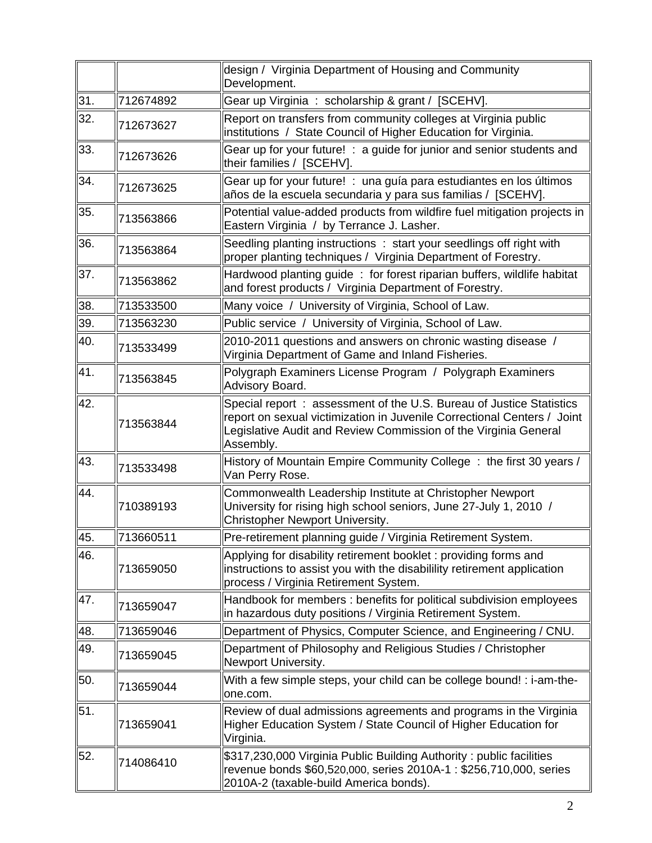|     |           | design / Virginia Department of Housing and Community<br>Development.                                                                                                                                                          |
|-----|-----------|--------------------------------------------------------------------------------------------------------------------------------------------------------------------------------------------------------------------------------|
| 31. | 712674892 | Gear up Virginia : scholarship & grant / [SCEHV].                                                                                                                                                                              |
| 32. | 712673627 | Report on transfers from community colleges at Virginia public<br>institutions / State Council of Higher Education for Virginia.                                                                                               |
| 33. | 712673626 | Gear up for your future! : a guide for junior and senior students and<br>their families / [SCEHV].                                                                                                                             |
| 34. | 712673625 | Gear up for your future! : una guía para estudiantes en los últimos<br>años de la escuela secundaria y para sus familias / [SCEHV].                                                                                            |
| 35. | 713563866 | Potential value-added products from wildfire fuel mitigation projects in<br>Eastern Virginia / by Terrance J. Lasher.                                                                                                          |
| 36. | 713563864 | Seedling planting instructions : start your seedlings off right with<br>proper planting techniques / Virginia Department of Forestry.                                                                                          |
| 37. | 713563862 | Hardwood planting guide: for forest riparian buffers, wildlife habitat<br>and forest products / Virginia Department of Forestry.                                                                                               |
| 38. | 713533500 | Many voice / University of Virginia, School of Law.                                                                                                                                                                            |
| 39. | 713563230 | Public service / University of Virginia, School of Law.                                                                                                                                                                        |
| 40. | 713533499 | 2010-2011 questions and answers on chronic wasting disease /<br>Virginia Department of Game and Inland Fisheries.                                                                                                              |
| 41. | 713563845 | Polygraph Examiners License Program / Polygraph Examiners<br>Advisory Board.                                                                                                                                                   |
| 42. | 713563844 | Special report: assessment of the U.S. Bureau of Justice Statistics<br>report on sexual victimization in Juvenile Correctional Centers / Joint<br>Legislative Audit and Review Commission of the Virginia General<br>Assembly. |
| 43. | 713533498 | History of Mountain Empire Community College: the first 30 years /<br>Van Perry Rose.                                                                                                                                          |
| 44. | 710389193 | Commonwealth Leadership Institute at Christopher Newport<br>University for rising high school seniors, June 27-July 1, 2010 /<br><b>Christopher Newport University.</b>                                                        |
| 45. | 713660511 | Pre-retirement planning guide / Virginia Retirement System.                                                                                                                                                                    |
| 46. | 713659050 | Applying for disability retirement booklet: providing forms and<br>instructions to assist you with the disabilility retirement application<br>process / Virginia Retirement System.                                            |
| 47. | 713659047 | Handbook for members : benefits for political subdivision employees<br>in hazardous duty positions / Virginia Retirement System.                                                                                               |
| 48. | 713659046 | Department of Physics, Computer Science, and Engineering / CNU.                                                                                                                                                                |
| 49. | 713659045 | Department of Philosophy and Religious Studies / Christopher<br>Newport University.                                                                                                                                            |
| 50. | 713659044 | With a few simple steps, your child can be college bound! : i-am-the-<br>one.com.                                                                                                                                              |
| 51. | 713659041 | Review of dual admissions agreements and programs in the Virginia<br>Higher Education System / State Council of Higher Education for<br>Virginia.                                                                              |
| 52. | 714086410 | \$317,230,000 Virginia Public Building Authority: public facilities<br>revenue bonds \$60,520,000, series 2010A-1 : \$256,710,000, series<br>2010A-2 (taxable-build America bonds).                                            |